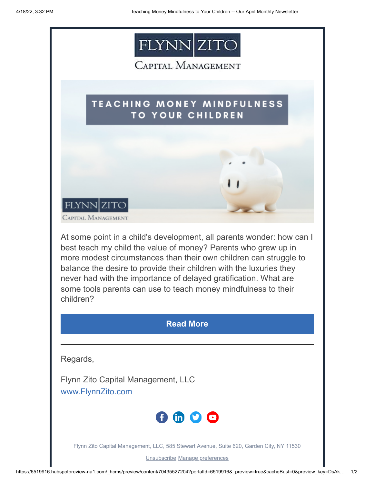

## CAPITAL MANAGEMENT

## **TEACHING MONEY MINDFULNESS TO YOUR CHILDREN**



At some point in a child's development, all parents wonder: how can I best teach my child the value of money? Parents who grew up in more modest circumstances than their own children can struggle to balance the desire to provide their children with the luxuries they never had with the importance of delayed gratification. What are some tools parents can use to teach money mindfulness to their children?

## **[Read More](https://www.flynnzito.com/blog/teaching-money-mindfulness-your-children?utm_source=hs_email&utm_medium=email&_hsenc=p2ANqtz-8kF-jfj8atOXVzr699rGe3pQP-d-A8ay6hwCiEVJELaxrnajd5WUG8vkAY9q0N-SVfe2gR)**

Regards,

Flynn Zito Capital Management, LLC [www.FlynnZito.com](https://www.flynnzito.com/?utm_source=hs_email&utm_medium=email&_hsenc=p2ANqtz-8kF-jfj8atOXVzr699rGe3pQP-d-A8ay6hwCiEVJELaxrnajd5WUG8vkAY9q0N-SVfe2gR)



Flynn Zito Capital Management, LLC, 585 Stewart Avenue, Suite 620, Garden City, NY 11530

[Unsubscribe](https://hs-6519916.s.hubspotemail.net/hs/manage-preferences/unsubscribe-all-test?languagePreference=en&d=VmYj8x94qb2gVKgD3Q3_YlyBW2m3bL73_YlyBN1JxwY5GKd_PM20N5N_GT5JW7Bf4865yPLV_F78RMkwQbGQ1&v=3&utm_source=hs_email&utm_medium=email&_hsenc=p2ANqtz-8kF-jfj8atOXVzr699rGe3pQP-d-A8ay6hwCiEVJELaxrnajd5WUG8vkAY9q0N-SVfe2gR) [Manage preferences](https://hs-6519916.s.hubspotemail.net/hs/manage-preferences/unsubscribe-test?languagePreference=en&d=VmYj8x94qb2gVKgD3Q3_YlyBW2m3bL73_YlyBN1JxwY5GKd_PM20N5N_GT5JW7Bf4865yPLV_F78RMkwQbGQ1&v=3&utm_source=hs_email&utm_medium=email&_hsenc=p2ANqtz-8kF-jfj8atOXVzr699rGe3pQP-d-A8ay6hwCiEVJELaxrnajd5WUG8vkAY9q0N-SVfe2gR)